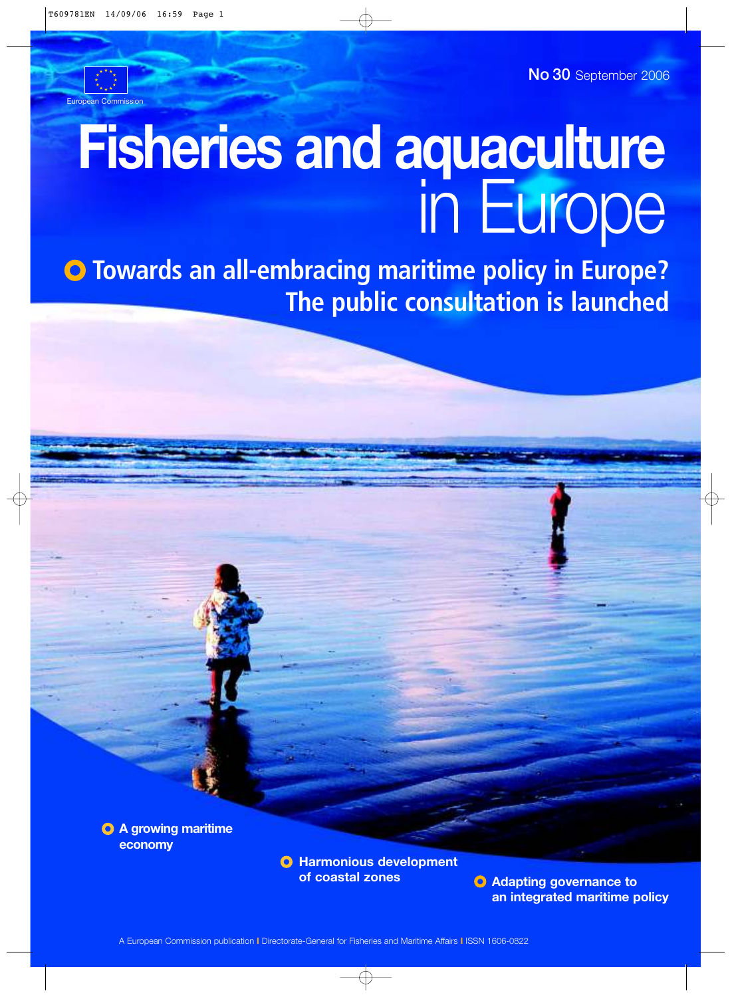European Commission

No 30 September 2006

# **Fisheries and aquaculture** in Europe

 $\bullet$  **Towards an all-embracing maritime policy in Europe? The public consultation is launched**

**A growing maritime economy** 

**O** Harmonious development

**of coastal zones Adapting governance to an integrated maritime policy**

A European Commission publication **I** Directorate-General for Fisheries and Maritime Affairs **I** ISSN 1606-0822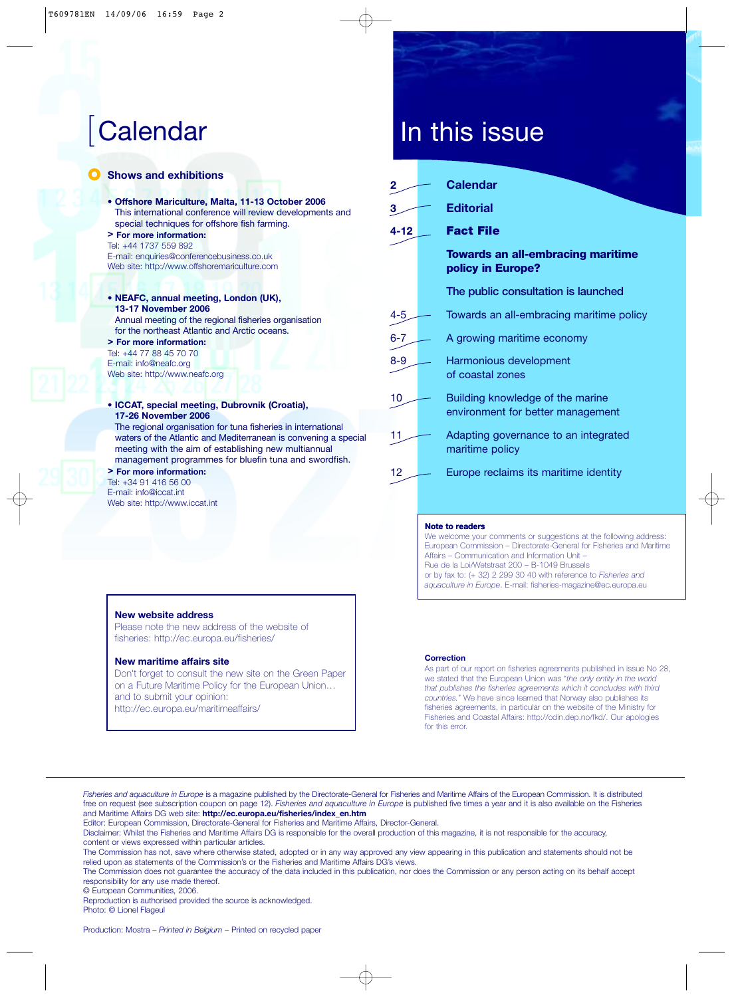- **C** Shows and exhibitions
	- **Offshore Mariculture, Malta, 11-13 October 2006** This international conference will review developments and special techniques for offshore fish farming. **> For more information:**
	- Tel: +44 1737 559 892 E-mail: enquiries@conferencebusiness.co.uk Web site: http://www.offshoremariculture.com
	- **NEAFC, annual meeting, London (UK), 13-17 November 2006** Annual meeting of the regional fisheries organisation for the northeast Atlantic and Arctic oceans.
	- **> For more information:** Tel: +44 77 88 45 70 70 E-mail: info@neafc.org Web site: http://www.neafc.org
	- **ICCAT, special meeting, Dubrovnik (Croatia), 17-26 November 2006** The regional organisation for tuna fisheries in international waters of the Atlantic and Mediterranean is convening a special meeting with the aim of establishing new multiannual management programmes for bluefin tuna and swordfish. **> For more information:**

#### Tel: +34 91 416 56 00 E-mail: info@iccat.int

Web site: http://www.iccat.int

# | Calendar In this issue

| 2       | Calendar                                                              |
|---------|-----------------------------------------------------------------------|
| 3       | <b>Editorial</b>                                                      |
| 4-12    | <b>Fact File</b>                                                      |
|         | <b>Towards an all-embracing maritime</b><br>policy in Europe?         |
|         | The public consultation is launched                                   |
| 4-5     | Towards an all-embracing maritime policy                              |
| $6 - 7$ | A growing maritime economy                                            |
| $8 - 9$ | Harmonious development<br>of coastal zones                            |
| 10      | Building knowledge of the marine<br>environment for better management |
| 11      | Adapting governance to an integrated<br>maritime policy               |
| 12      | Europe reclaims its maritime identity                                 |

#### **Note to readers**

We welcome your comments or suggestions at the following address: European Commission – Directorate-General for Fisheries and Maritime Affairs – Communication and Information Unit – Rue de la Loi/Wetstraat 200 – B-1049 Brussels or by fax to: (+ 32) 2 299 30 40 with reference to *Fisheries and aquaculture in Europe*. E-mail: fisheries-magazine@ec.europa.eu

#### **New website address**

Please note the new address of the website of fisheries: http://ec.europa.eu/fisheries/

#### **New maritime affairs site**

Don't forget to consult the new site on the Green Paper on a Future Maritime Policy for the European Union… and to submit your opinion: http://ec.europa.eu/maritimeaffairs/

#### **Correction**

As part of our report on fisheries agreements published in issue No 28, we stated that the European Union was "*the only entity in the world that publishes the fisheries agreements which it concludes with third countries.*" We have since learned that Norway also publishes its fisheries agreements, in particular on the website of the Ministry for Fisheries and Coastal Affairs: http://odin.dep.no/fkd/. Our apologies for this error.

*Fisheries and aquaculture in Europe* is a magazine published by the Directorate-General for Fisheries and Maritime Affairs of the European Commission. It is distributed free on request (see subscription coupon on page 12). *Fisheries and aquaculture in Europe* is published five times a year and it is also available on the Fisheries and Maritime Affairs DG web site: **http://ec.europa.eu/fisheries/index\_en.htm**

Editor: European Commission, Directorate-General for Fisheries and Maritime Affairs, Director-General.

Disclaimer: Whilst the Fisheries and Maritime Affairs DG is responsible for the overall production of this magazine, it is not responsible for the accuracy, content or views expressed within particular articles.

The Commission has not, save where otherwise stated, adopted or in any way approved any view appearing in this publication and statements should not be relied upon as statements of the Commission's or the Fisheries and Maritime Affairs DG's views.

The Commission does not guarantee the accuracy of the data included in this publication, nor does the Commission or any person acting on its behalf accept responsibility for any use made thereof.

© European Communities, 2006.

Reproduction is authorised provided the source is acknowledged. Photo: © Lionel Flageul

Production: Mostra – *Printed in Belgium* – Printed on recycled paper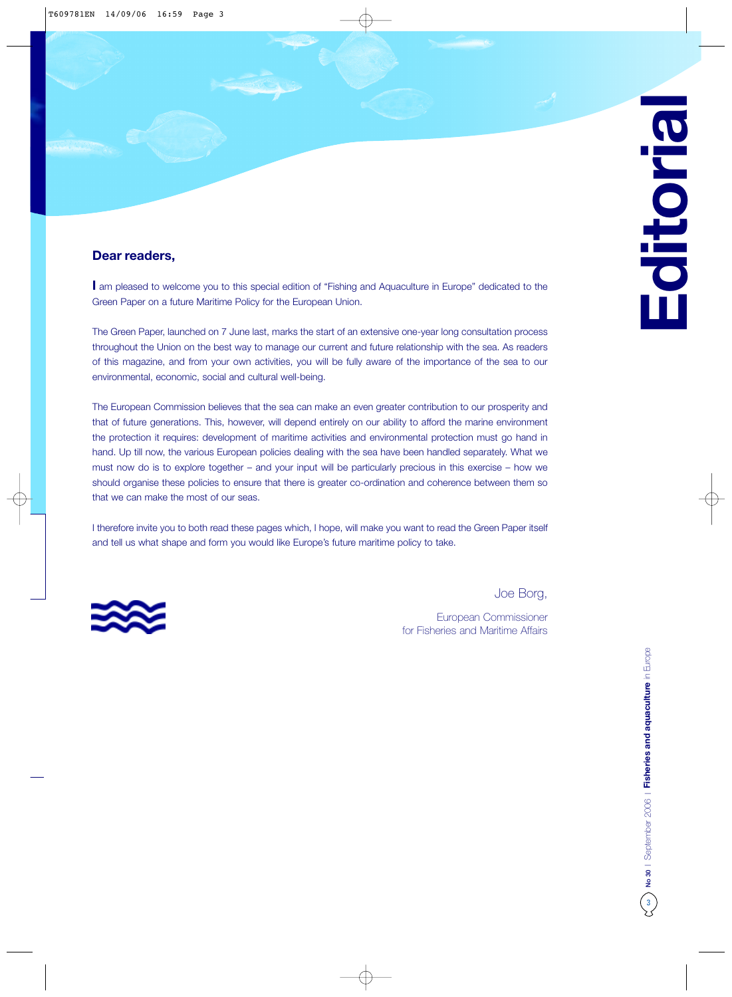#### **Dear readers,**

**I** am pleased to welcome you to this special edition of "Fishing and Aquaculture in Europe" dedicated to the Green Paper on a future Maritime Policy for the European Union.

The Green Paper, launched on 7 June last, marks the start of an extensive one-year long consultation process throughout the Union on the best way to manage our current and future relationship with the sea. As readers of this magazine, and from your own activities, you will be fully aware of the importance of the sea to our environmental, economic, social and cultural well-being.

The European Commission believes that the sea can make an even greater contribution to our prosperity and that of future generations. This, however, will depend entirely on our ability to afford the marine environment the protection it requires: development of maritime activities and environmental protection must go hand in hand. Up till now, the various European policies dealing with the sea have been handled separately. What we must now do is to explore together – and your input will be particularly precious in this exercise – how we should organise these policies to ensure that there is greater co-ordination and coherence between them so that we can make the most of our seas.

I therefore invite you to both read these pages which, I hope, will make you want to read the Green Paper itself and tell us what shape and form you would like Europe's future maritime policy to take.



Joe Borg,

European Commissioner for Fisheries and Maritime Affairs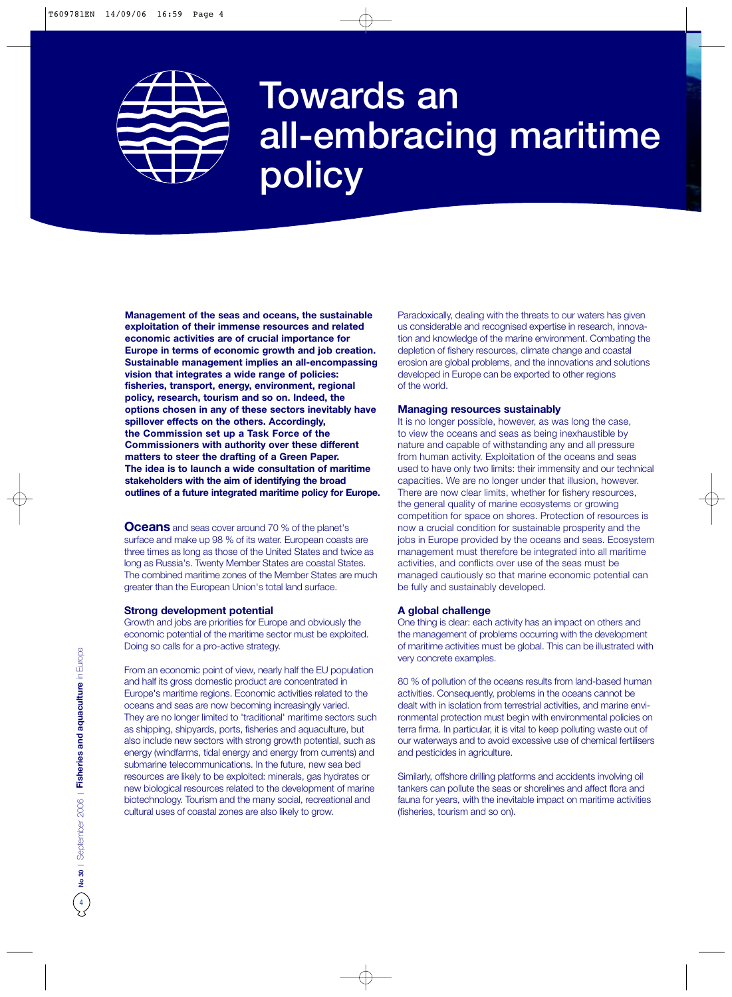

# Towards an all-embracing maritime policy

**Management of the seas and oceans, the sustainable exploitation of their immense resources and related economic activities are of crucial importance for Europe in terms of economic growth and job creation. Sustainable management implies an all-encompassing vision that integrates a wide range of policies: fisheries, transport, energy, environment, regional policy, research, tourism and so on. Indeed, the options chosen in any of these sectors inevitably have spillover effects on the others. Accordingly, the Commission set up a Task Force of the Commissioners with authority over these different matters to steer the drafting of a Green Paper. The idea is to launch a wide consultation of maritime stakeholders with the aim of identifying the broad outlines of a future integrated maritime policy for Europe.**

**Oceans** and seas cover around 70 % of the planet's surface and make up 98 % of its water. European coasts are three times as long as those of the United States and twice as long as Russia's. Twenty Member States are coastal States. The combined maritime zones of the Member States are much greater than the European Union's total land surface.

#### **Strong development potential**

Growth and jobs are priorities for Europe and obviously the economic potential of the maritime sector must be exploited. Doing so calls for a pro-active strategy.

From an economic point of view, nearly half the EU population and half its gross domestic product are concentrated in Europe's maritime regions. Economic activities related to the oceans and seas are now becoming increasingly varied. They are no longer limited to 'traditional' maritime sectors such as shipping, shipyards, ports, fisheries and aquaculture, but also include new sectors with strong growth potential, such as energy (windfarms, tidal energy and energy from currents) and submarine telecommunications. In the future, new sea bed resources are likely to be exploited: minerals, gas hydrates or new biological resources related to the development of marine biotechnology. Tourism and the many social, recreational and cultural uses of coastal zones are also likely to grow.

Paradoxically, dealing with the threats to our waters has given us considerable and recognised expertise in research, innovation and knowledge of the marine environment. Combating the depletion of fishery resources, climate change and coastal erosion are global problems, and the innovations and solutions developed in Europe can be exported to other regions of the world.

#### **Managing resources sustainably**

It is no longer possible, however, as was long the case, to view the oceans and seas as being inexhaustible by nature and capable of withstanding any and all pressure from human activity. Exploitation of the oceans and seas used to have only two limits: their immensity and our technical capacities. We are no longer under that illusion, however. There are now clear limits, whether for fishery resources, the general quality of marine ecosystems or growing competition for space on shores. Protection of resources is now a crucial condition for sustainable prosperity and the jobs in Europe provided by the oceans and seas. Ecosystem management must therefore be integrated into all maritime activities, and conflicts over use of the seas must be managed cautiously so that marine economic potential can be fully and sustainably developed.

#### **A global challenge**

One thing is clear: each activity has an impact on others and the management of problems occurring with the development of maritime activities must be global. This can be illustrated with very concrete examples.

80 % of pollution of the oceans results from land-based human activities. Consequently, problems in the oceans cannot be dealt with in isolation from terrestrial activities, and marine environmental protection must begin with environmental policies on terra firma. In particular, it is vital to keep polluting waste out of our waterways and to avoid excessive use of chemical fertilisers and pesticides in agriculture.

Similarly, offshore drilling platforms and accidents involving oil tankers can pollute the seas or shorelines and affect flora and fauna for years, with the inevitable impact on maritime activities (fisheries, tourism and so on).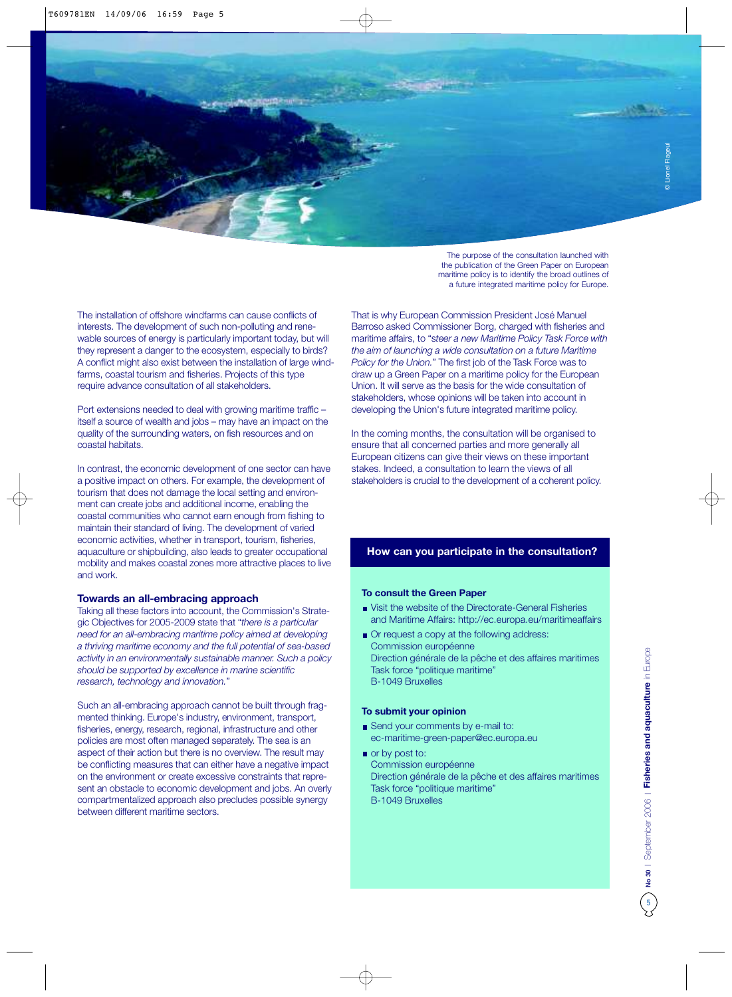The purpose of the consultation launched with the publication of the Green Paper on European maritime policy is to identify the broad outlines of a future integrated maritime policy for Europe.

The installation of offshore windfarms can cause conflicts of interests. The development of such non-polluting and renewable sources of energy is particularly important today, but will they represent a danger to the ecosystem, especially to birds? A conflict might also exist between the installation of large windfarms, coastal tourism and fisheries. Projects of this type require advance consultation of all stakeholders.

Port extensions needed to deal with growing maritime traffic – itself a source of wealth and jobs – may have an impact on the quality of the surrounding waters, on fish resources and on coastal habitats.

In contrast, the economic development of one sector can have a positive impact on others. For example, the development of tourism that does not damage the local setting and environment can create jobs and additional income, enabling the coastal communities who cannot earn enough from fishing to maintain their standard of living. The development of varied economic activities, whether in transport, tourism, fisheries, aquaculture or shipbuilding, also leads to greater occupational mobility and makes coastal zones more attractive places to live and work.

#### **Towards an all-embracing approach**

Taking all these factors into account, the Commission's Strategic Objectives for 2005-2009 state that "*there is a particular need for an all-embracing maritime policy aimed at developing a thriving maritime economy and the full potential of sea-based activity in an environmentally sustainable manner. Such a policy should be supported by excellence in marine scientific research, technology and innovation.*"

Such an all-embracing approach cannot be built through fragmented thinking. Europe's industry, environment, transport, fisheries, energy, research, regional, infrastructure and other policies are most often managed separately. The sea is an aspect of their action but there is no overview. The result may be conflicting measures that can either have a negative impact on the environment or create excessive constraints that represent an obstacle to economic development and jobs. An overly compartmentalized approach also precludes possible synergy between different maritime sectors.

That is why European Commission President José Manuel Barroso asked Commissioner Borg, charged with fisheries and maritime affairs, to "s*teer a new Maritime Policy Task Force with the aim of launching a wide consultation on a future Maritime Policy for the Union.*" The first job of the Task Force was to draw up a Green Paper on a maritime policy for the European Union. It will serve as the basis for the wide consultation of stakeholders, whose opinions will be taken into account in developing the Union's future integrated maritime policy.

In the coming months, the consultation will be organised to ensure that all concerned parties and more generally all European citizens can give their views on these important stakes. Indeed, a consultation to learn the views of all stakeholders is crucial to the development of a coherent policy.

#### **How can you participate in the consultation?**

#### **To consult the Green Paper**

- Visit the website of the Directorate-General Fisheries and Maritime Affairs: http://ec.europa.eu/maritimeaffairs
- Or request a copy at the following address: Commission européenne Direction générale de la pêche et des affaires maritimes Task force "politique maritime" B-1049 Bruxelles

#### **To submit your opinion**

- Send your comments by e-mail to: ec-maritime-green-paper@ec.europa.eu
- or by post to: Commission européenne Direction générale de la pêche et des affaires maritimes Task force "politique maritime" B-1049 Bruxelles

© Lionel Flageul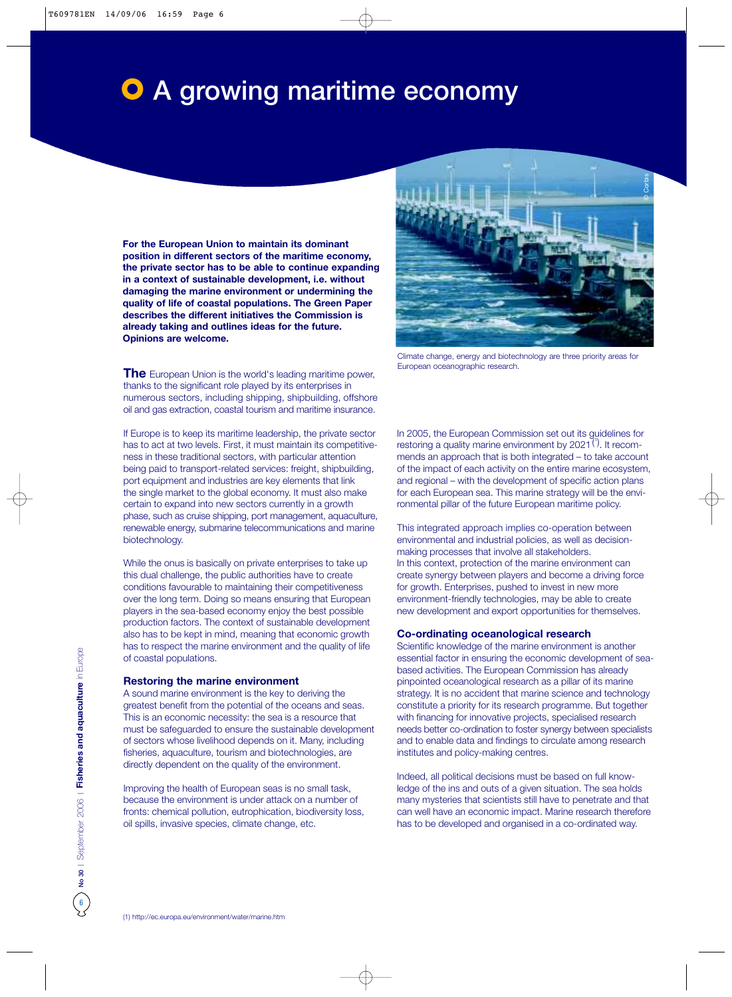# **O** A growing maritime economy

**For the European Union to maintain its dominant position in different sectors of the maritime economy, the private sector has to be able to continue expanding in a context of sustainable development, i.e. without damaging the marine environment or undermining the quality of life of coastal populations. The Green Paper describes the different initiatives the Commission is already taking and outlines ideas for the future. Opinions are welcome.**



Climate change, energy and biotechnology are three priority areas for European oceanographic research.

**The** European Union is the world's leading maritime power, thanks to the significant role played by its enterprises in numerous sectors, including shipping, shipbuilding, offshore oil and gas extraction, coastal tourism and maritime insurance.

If Europe is to keep its maritime leadership, the private sector has to act at two levels. First, it must maintain its competitiveness in these traditional sectors, with particular attention being paid to transport-related services: freight, shipbuilding, port equipment and industries are key elements that link the single market to the global economy. It must also make certain to expand into new sectors currently in a growth phase, such as cruise shipping, port management, aquaculture, renewable energy, submarine telecommunications and marine biotechnology.

While the onus is basically on private enterprises to take up this dual challenge, the public authorities have to create conditions favourable to maintaining their competitiveness over the long term. Doing so means ensuring that European players in the sea-based economy enjoy the best possible production factors. The context of sustainable development also has to be kept in mind, meaning that economic growth has to respect the marine environment and the quality of life of coastal populations.

#### **Restoring the marine environment**

A sound marine environment is the key to deriving the greatest benefit from the potential of the oceans and seas. This is an economic necessity: the sea is a resource that must be safeguarded to ensure the sustainable development of sectors whose livelihood depends on it. Many, including fisheries, aquaculture, tourism and biotechnologies, are directly dependent on the quality of the environment.

Improving the health of European seas is no small task, because the environment is under attack on a number of fronts: chemical pollution, eutrophication, biodiversity loss, oil spills, invasive species, climate change, etc.

In 2005, the European Commission set out its guidelines for restoring a quality marine environment by 2021<sup>(1)</sup>. It recommends an approach that is both integrated – to take account of the impact of each activity on the entire marine ecosystem, and regional – with the development of specific action plans for each European sea. This marine strategy will be the environmental pillar of the future European maritime policy.

This integrated approach implies co-operation between environmental and industrial policies, as well as decisionmaking processes that involve all stakeholders. In this context, protection of the marine environment can create synergy between players and become a driving force for growth. Enterprises, pushed to invest in new more environment-friendly technologies, may be able to create new development and export opportunities for themselves.

#### **Co-ordinating oceanological research**

Scientific knowledge of the marine environment is another essential factor in ensuring the economic development of seabased activities. The European Commission has already pinpointed oceanological research as a pillar of its marine strategy. It is no accident that marine science and technology constitute a priority for its research programme. But together with financing for innovative projects, specialised research needs better co-ordination to foster synergy between specialists and to enable data and findings to circulate among research institutes and policy-making centres.

Indeed, all political decisions must be based on full knowledge of the ins and outs of a given situation. The sea holds many mysteries that scientists still have to penetrate and that can well have an economic impact. Marine research therefore has to be developed and organised in a co-ordinated way.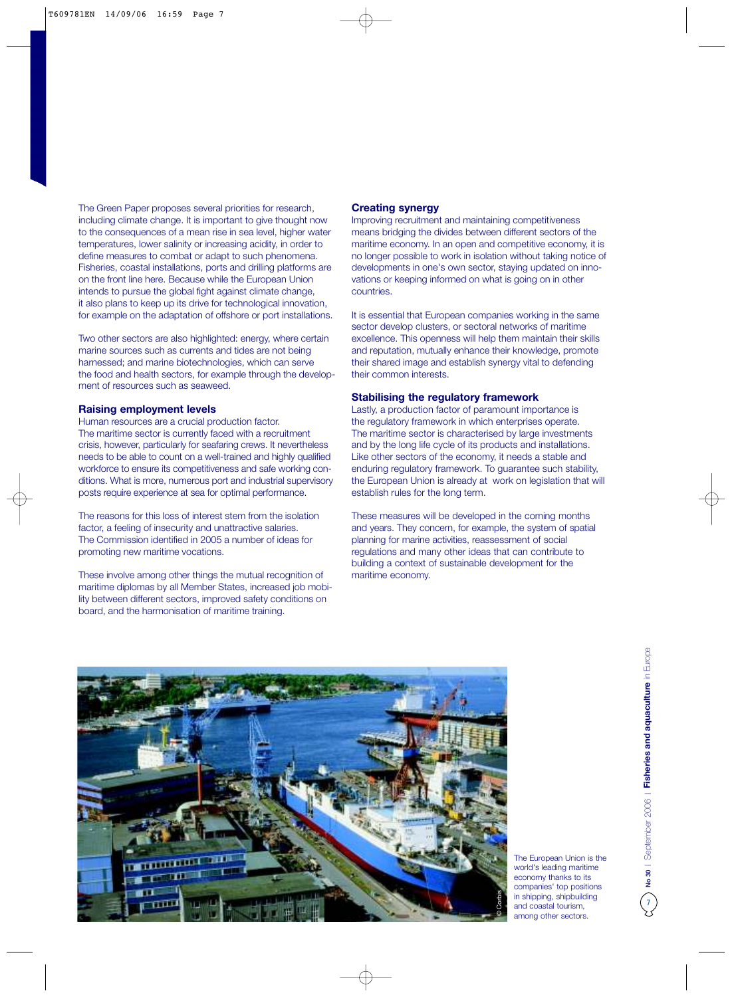The Green Paper proposes several priorities for research, including climate change. It is important to give thought now to the consequences of a mean rise in sea level, higher water temperatures, lower salinity or increasing acidity, in order to define measures to combat or adapt to such phenomena. Fisheries, coastal installations, ports and drilling platforms are on the front line here. Because while the European Union intends to pursue the global fight against climate change, it also plans to keep up its drive for technological innovation, for example on the adaptation of offshore or port installations.

Two other sectors are also highlighted: energy, where certain marine sources such as currents and tides are not being harnessed; and marine biotechnologies, which can serve the food and health sectors, for example through the development of resources such as seaweed.

#### **Raising employment levels**

Human resources are a crucial production factor. The maritime sector is currently faced with a recruitment crisis, however, particularly for seafaring crews. It nevertheless needs to be able to count on a well-trained and highly qualified workforce to ensure its competitiveness and safe working conditions. What is more, numerous port and industrial supervisory posts require experience at sea for optimal performance.

The reasons for this loss of interest stem from the isolation factor, a feeling of insecurity and unattractive salaries. The Commission identified in 2005 a number of ideas for promoting new maritime vocations.

These involve among other things the mutual recognition of maritime diplomas by all Member States, increased job mobility between different sectors, improved safety conditions on board, and the harmonisation of maritime training.

#### **Creating synergy**

Improving recruitment and maintaining competitiveness means bridging the divides between different sectors of the maritime economy. In an open and competitive economy, it is no longer possible to work in isolation without taking notice of developments in one's own sector, staying updated on innovations or keeping informed on what is going on in other countries.

It is essential that European companies working in the same sector develop clusters, or sectoral networks of maritime excellence. This openness will help them maintain their skills and reputation, mutually enhance their knowledge, promote their shared image and establish synergy vital to defending their common interests.

#### **Stabilising the regulatory framework**

Lastly, a production factor of paramount importance is the regulatory framework in which enterprises operate. The maritime sector is characterised by large investments and by the long life cycle of its products and installations. Like other sectors of the economy, it needs a stable and enduring regulatory framework. To guarantee such stability, the European Union is already at work on legislation that will establish rules for the long term.

These measures will be developed in the coming months and years. They concern, for example, the system of spatial planning for marine activities, reassessment of social regulations and many other ideas that can contribute to building a context of sustainable development for the maritime economy.



The European Union is the world's leading maritime economy thanks to its companies' top positions in shipping, shipbuilding and coastal tourism, among other sectors.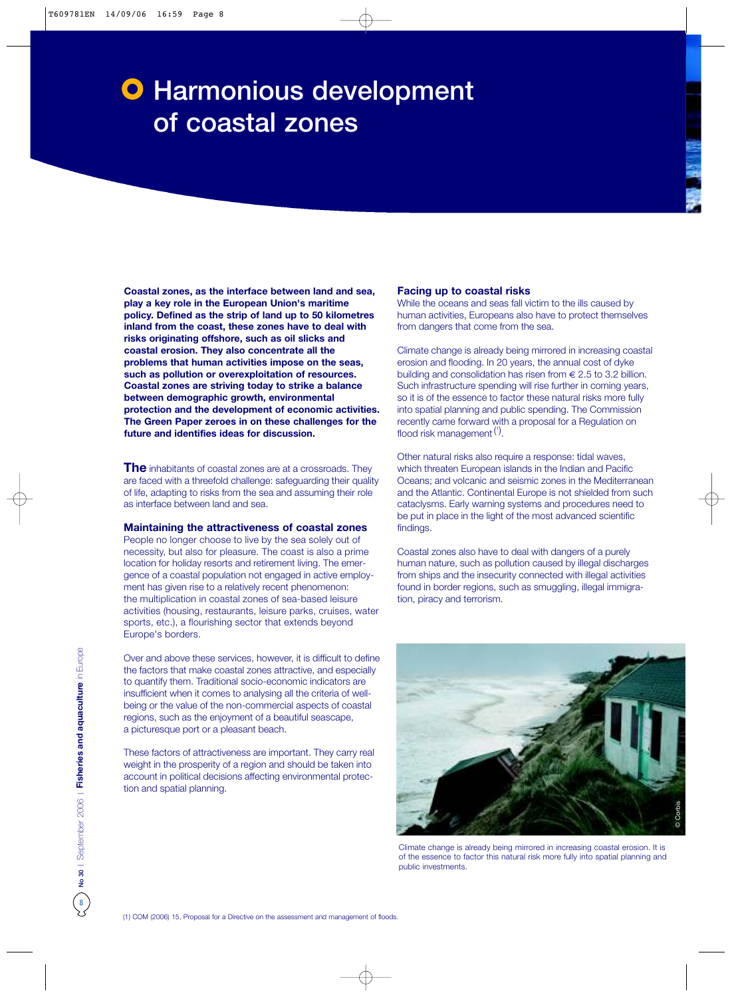# **O** Harmonious development of coastal zones

**Coastal zones, as the interface between land and sea, play a key role in the European Union's maritime policy. Defined as the strip of land up to 50 kilometres inland from the coast, these zones have to deal with risks originating offshore, such as oil slicks and coastal erosion. They also concentrate all the problems that human activities impose on the seas, such as pollution or overexploitation of resources. Coastal zones are striving today to strike a balance between demographic growth, environmental protection and the development of economic activities. The Green Paper zeroes in on these challenges for the future and identifies ideas for discussion.**

**The** inhabitants of coastal zones are at a crossroads. They are faced with a threefold challenge: safeguarding their quality of life, adapting to risks from the sea and assuming their role as interface between land and sea.

#### **Maintaining the attractiveness of coastal zones**

People no longer choose to live by the sea solely out of necessity, but also for pleasure. The coast is also a prime location for holiday resorts and retirement living. The emergence of a coastal population not engaged in active employment has given rise to a relatively recent phenomenon: the multiplication in coastal zones of sea-based leisure activities (housing, restaurants, leisure parks, cruises, water sports, etc.), a flourishing sector that extends beyond Europe's borders.

Over and above these services, however, it is difficult to define the factors that make coastal zones attractive, and especially to quantify them. Traditional socio-economic indicators are insufficient when it comes to analysing all the criteria of wellbeing or the value of the non-commercial aspects of coastal regions, such as the enjoyment of a beautiful seascape, a picturesque port or a pleasant beach.

These factors of attractiveness are important. They carry real weight in the prosperity of a region and should be taken into account in political decisions affecting environmental protection and spatial planning.

#### **Facing up to coastal risks**

While the oceans and seas fall victim to the ills caused by human activities, Europeans also have to protect themselves from dangers that come from the sea.

Climate change is already being mirrored in increasing coastal erosion and flooding. In 20 years, the annual cost of dyke building and consolidation has risen from  $\in$  2.5 to 3.2 billion. Such infrastructure spending will rise further in coming years, so it is of the essence to factor these natural risks more fully into spatial planning and public spending. The Commission recently came forward with a proposal for a Regulation on flood risk management<sup>(1)</sup>.

Other natural risks also require a response: tidal waves, which threaten European islands in the Indian and Pacific Oceans; and volcanic and seismic zones in the Mediterranean and the Atlantic. Continental Europe is not shielded from such cataclysms. Early warning systems and procedures need to be put in place in the light of the most advanced scientific findings.

Coastal zones also have to deal with dangers of a purely human nature, such as pollution caused by illegal discharges from ships and the insecurity connected with illegal activities found in border regions, such as smuggling, illegal immigration, piracy and terrorism.



Climate change is already being mirrored in increasing coastal erosion. It is of the essence to factor this natural risk more fully into spatial planning and public investments.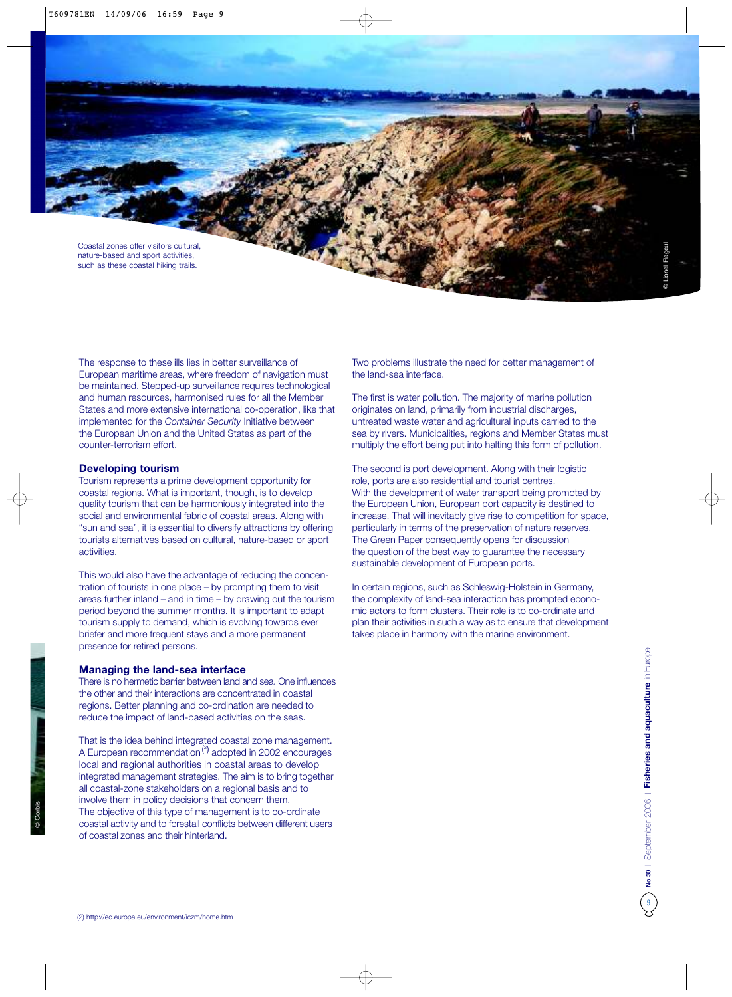

The response to these ills lies in better surveillance of European maritime areas, where freedom of navigation must be maintained. Stepped-up surveillance requires technological and human resources, harmonised rules for all the Member States and more extensive international co-operation, like that implemented for the *Container Security* Initiative between the European Union and the United States as part of the counter-terrorism effort.

#### **Developing tourism**

Tourism represents a prime development opportunity for coastal regions. What is important, though, is to develop quality tourism that can be harmoniously integrated into the social and environmental fabric of coastal areas. Along with "sun and sea", it is essential to diversify attractions by offering tourists alternatives based on cultural, nature-based or sport activities.

This would also have the advantage of reducing the concentration of tourists in one place – by prompting them to visit areas further inland – and in time – by drawing out the tourism period beyond the summer months. It is important to adapt tourism supply to demand, which is evolving towards ever briefer and more frequent stays and a more permanent presence for retired persons.

#### **Managing the land-sea interface**

There is no hermetic barrier between land and sea. One influences the other and their interactions are concentrated in coastal regions. Better planning and co-ordination are needed to reduce the impact of land-based activities on the seas.

That is the idea behind integrated coastal zone management. A European recommendation<sup>(2)</sup> adopted in 2002 encourages local and regional authorities in coastal areas to develop integrated management strategies. The aim is to bring together all coastal-zone stakeholders on a regional basis and to involve them in policy decisions that concern them. The objective of this type of management is to co-ordinate coastal activity and to forestall conflicts between different users of coastal zones and their hinterland.

Two problems illustrate the need for better management of the land-sea interface.

The first is water pollution. The majority of marine pollution originates on land, primarily from industrial discharges, untreated waste water and agricultural inputs carried to the sea by rivers. Municipalities, regions and Member States must multiply the effort being put into halting this form of pollution.

The second is port development. Along with their logistic role, ports are also residential and tourist centres. With the development of water transport being promoted by the European Union, European port capacity is destined to increase. That will inevitably give rise to competition for space, particularly in terms of the preservation of nature reserves. The Green Paper consequently opens for discussion the question of the best way to guarantee the necessary sustainable development of European ports.

In certain regions, such as Schleswig-Holstein in Germany, the complexity of land-sea interaction has prompted economic actors to form clusters. Their role is to co-ordinate and plan their activities in such a way as to ensure that development takes place in harmony with the marine environment.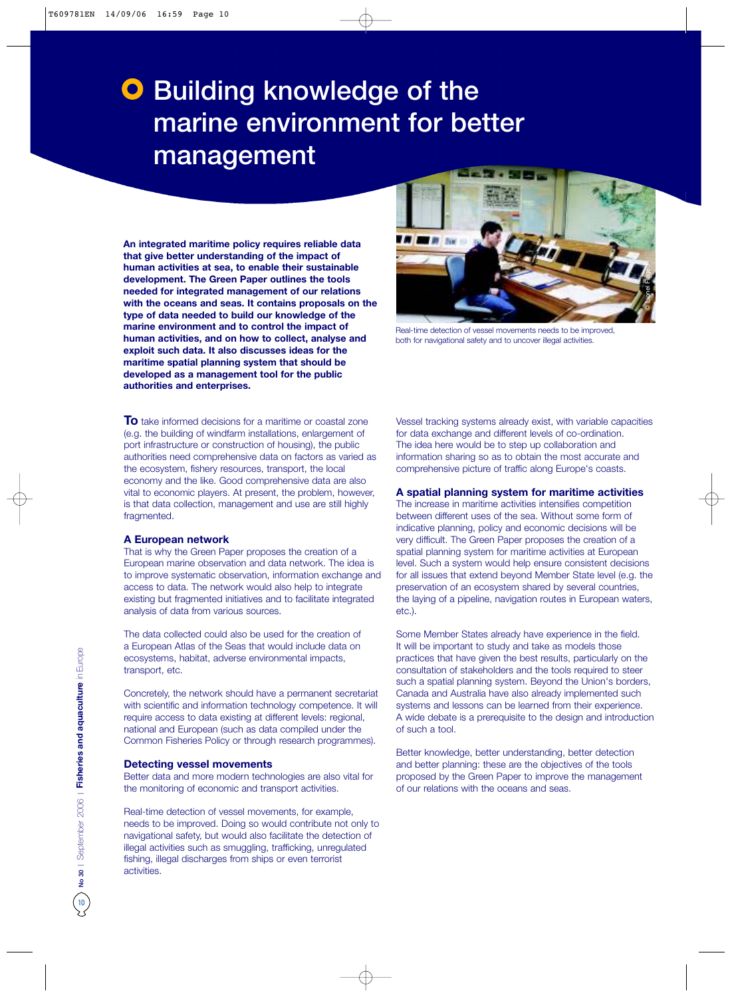# **O** Building knowledge of the marine environment for better management

**An integrated maritime policy requires reliable data that give better understanding of the impact of human activities at sea, to enable their sustainable development. The Green Paper outlines the tools needed for integrated management of our relations with the oceans and seas. It contains proposals on the type of data needed to build our knowledge of the marine environment and to control the impact of human activities, and on how to collect, analyse and exploit such data. It also discusses ideas for the maritime spatial planning system that should be developed as a management tool for the public authorities and enterprises.**

**To** take informed decisions for a maritime or coastal zone (e.g. the building of windfarm installations, enlargement of port infrastructure or construction of housing), the public authorities need comprehensive data on factors as varied as the ecosystem, fishery resources, transport, the local economy and the like. Good comprehensive data are also vital to economic players. At present, the problem, however, is that data collection, management and use are still highly fragmented.

#### **A European network**

That is why the Green Paper proposes the creation of a European marine observation and data network. The idea is to improve systematic observation, information exchange and access to data. The network would also help to integrate existing but fragmented initiatives and to facilitate integrated analysis of data from various sources.

The data collected could also be used for the creation of a European Atlas of the Seas that would include data on ecosystems, habitat, adverse environmental impacts, transport, etc.

Concretely, the network should have a permanent secretariat with scientific and information technology competence. It will require access to data existing at different levels: regional, national and European (such as data compiled under the Common Fisheries Policy or through research programmes).

#### **Detecting vessel movements**

Better data and more modern technologies are also vital for the monitoring of economic and transport activities.

Real-time detection of vessel movements, for example, needs to be improved. Doing so would contribute not only to navigational safety, but would also facilitate the detection of illegal activities such as smuggling, trafficking, unregulated fishing, illegal discharges from ships or even terrorist activities.



Real-time detection of vessel movements needs to be improved, both for navigational safety and to uncover illegal activities.

Vessel tracking systems already exist, with variable capacities for data exchange and different levels of co-ordination. The idea here would be to step up collaboration and information sharing so as to obtain the most accurate and comprehensive picture of traffic along Europe's coasts.

#### **A spatial planning system for maritime activities**

The increase in maritime activities intensifies competition between different uses of the sea. Without some form of indicative planning, policy and economic decisions will be very difficult. The Green Paper proposes the creation of a spatial planning system for maritime activities at European level. Such a system would help ensure consistent decisions for all issues that extend beyond Member State level (e.g. the preservation of an ecosystem shared by several countries, the laying of a pipeline, navigation routes in European waters, etc.).

Some Member States already have experience in the field. It will be important to study and take as models those practices that have given the best results, particularly on the consultation of stakeholders and the tools required to steer such a spatial planning system. Beyond the Union's borders, Canada and Australia have also already implemented such systems and lessons can be learned from their experience. A wide debate is a prerequisite to the design and introduction of such a tool.

Better knowledge, better understanding, better detection and better planning: these are the objectives of the tools proposed by the Green Paper to improve the management of our relations with the oceans and seas.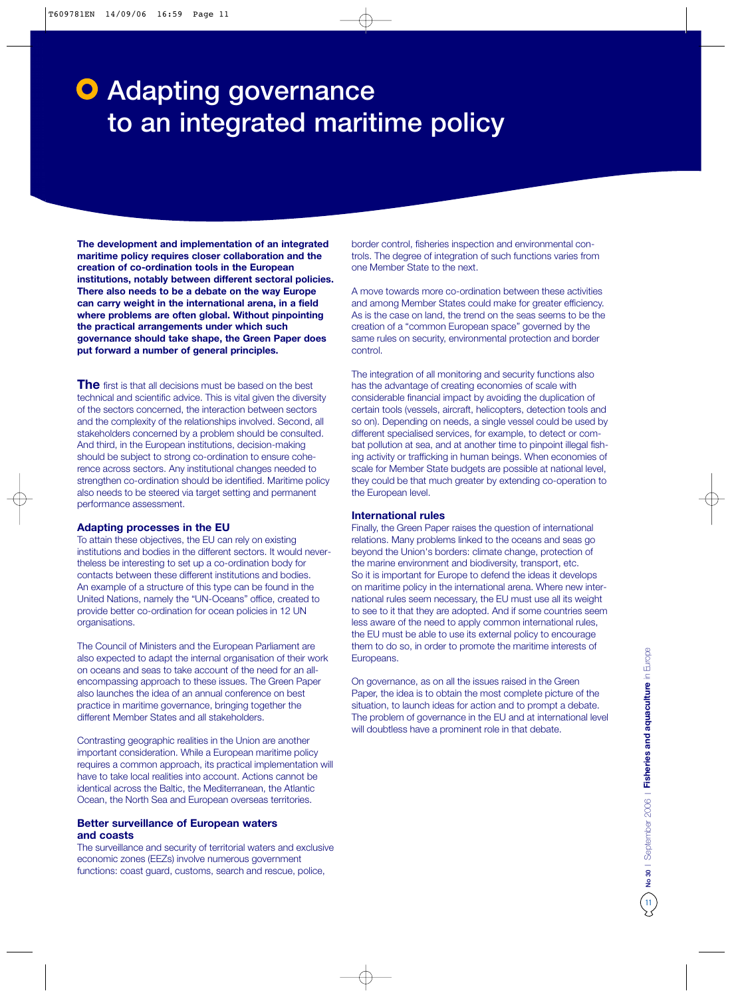# **O** Adapting governance to an integrated maritime policy

**The development and implementation of an integrated maritime policy requires closer collaboration and the creation of co-ordination tools in the European institutions, notably between different sectoral policies. There also needs to be a debate on the way Europe can carry weight in the international arena, in a field where problems are often global. Without pinpointing the practical arrangements under which such governance should take shape, the Green Paper does put forward a number of general principles.** 

**The** first is that all decisions must be based on the best technical and scientific advice. This is vital given the diversity of the sectors concerned, the interaction between sectors and the complexity of the relationships involved. Second, all stakeholders concerned by a problem should be consulted. And third, in the European institutions, decision-making should be subject to strong co-ordination to ensure coherence across sectors. Any institutional changes needed to strengthen co-ordination should be identified. Maritime policy also needs to be steered via target setting and permanent performance assessment.

#### **Adapting processes in the EU**

To attain these objectives, the EU can rely on existing institutions and bodies in the different sectors. It would nevertheless be interesting to set up a co-ordination body for contacts between these different institutions and bodies. An example of a structure of this type can be found in the United Nations, namely the "UN-Oceans" office, created to provide better co-ordination for ocean policies in 12 UN organisations.

The Council of Ministers and the European Parliament are also expected to adapt the internal organisation of their work on oceans and seas to take account of the need for an allencompassing approach to these issues. The Green Paper also launches the idea of an annual conference on best practice in maritime governance, bringing together the different Member States and all stakeholders.

Contrasting geographic realities in the Union are another important consideration. While a European maritime policy requires a common approach, its practical implementation will have to take local realities into account. Actions cannot be identical across the Baltic, the Mediterranean, the Atlantic Ocean, the North Sea and European overseas territories.

#### **Better surveillance of European waters and coasts**

The surveillance and security of territorial waters and exclusive economic zones (EEZs) involve numerous government functions: coast guard, customs, search and rescue, police,

border control, fisheries inspection and environmental controls. The degree of integration of such functions varies from one Member State to the next.

A move towards more co-ordination between these activities and among Member States could make for greater efficiency. As is the case on land, the trend on the seas seems to be the creation of a "common European space" governed by the same rules on security, environmental protection and border control.

The integration of all monitoring and security functions also has the advantage of creating economies of scale with considerable financial impact by avoiding the duplication of certain tools (vessels, aircraft, helicopters, detection tools and so on). Depending on needs, a single vessel could be used by different specialised services, for example, to detect or combat pollution at sea, and at another time to pinpoint illegal fishing activity or trafficking in human beings. When economies of scale for Member State budgets are possible at national level, they could be that much greater by extending co-operation to the European level.

#### **International rules**

Finally, the Green Paper raises the question of international relations. Many problems linked to the oceans and seas go beyond the Union's borders: climate change, protection of the marine environment and biodiversity, transport, etc. So it is important for Europe to defend the ideas it develops on maritime policy in the international arena. Where new international rules seem necessary, the EU must use all its weight to see to it that they are adopted. And if some countries seem less aware of the need to apply common international rules, the EU must be able to use its external policy to encourage them to do so, in order to promote the maritime interests of Europeans.

On governance, as on all the issues raised in the Green Paper, the idea is to obtain the most complete picture of the situation, to launch ideas for action and to prompt a debate. The problem of governance in the EU and at international level will doubtless have a prominent role in that debate.